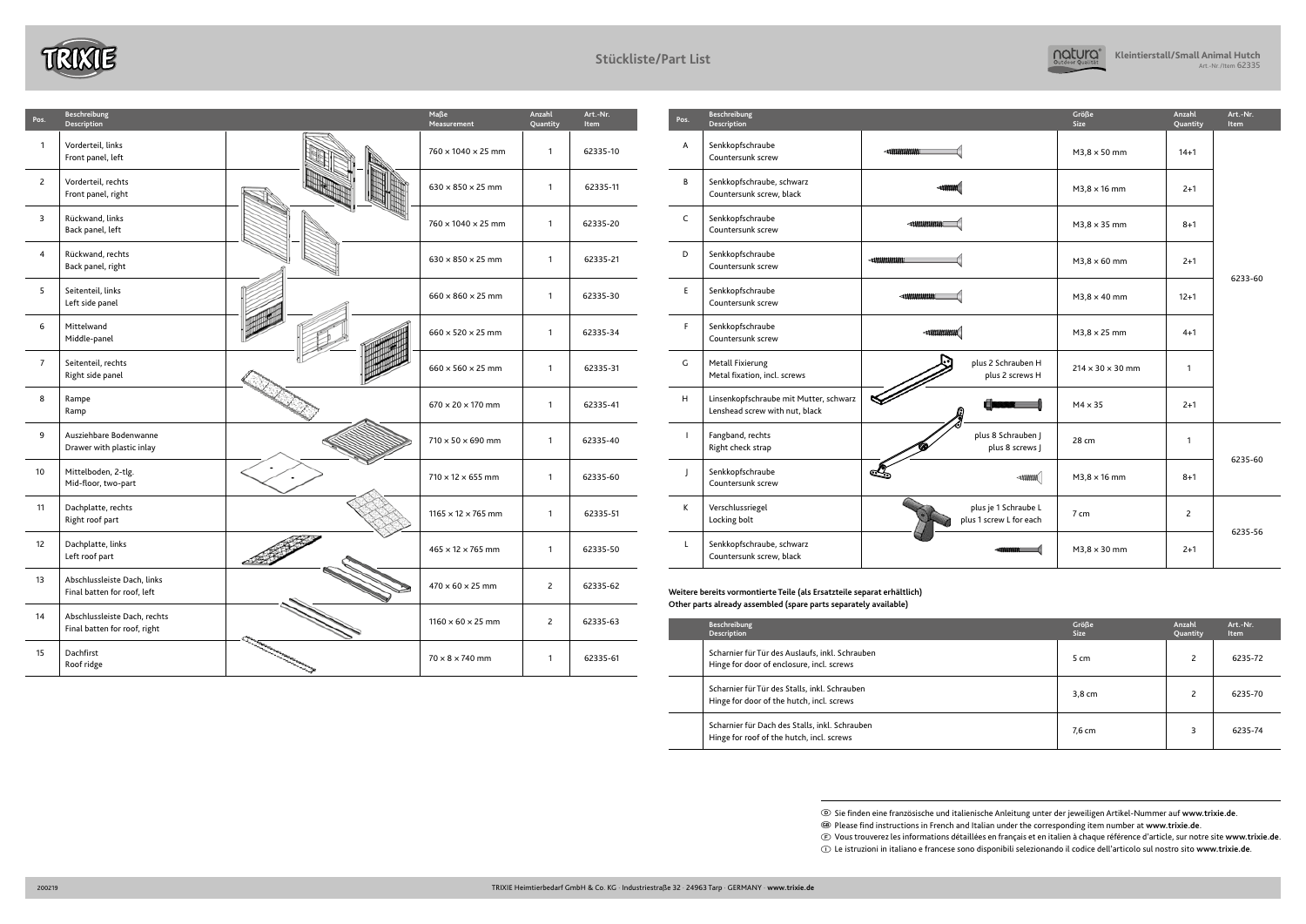| Pos.         | <b>Beschreibung</b><br><b>Description</b>                                |                                                 | Größe<br><b>Size</b>         | Anzahl<br>Quantity | Art.-Nr.<br>Item |  |
|--------------|--------------------------------------------------------------------------|-------------------------------------------------|------------------------------|--------------------|------------------|--|
| A            | Senkkopfschraube<br>Countersunk screw                                    |                                                 | $M3.8 \times 50$ mm          | $14 + 1$           |                  |  |
| B            | Senkkopfschraube, schwarz<br>Countersunk screw, black                    | $\blacksquare$                                  | $M3.8 \times 16$ mm          | $2 + 1$            |                  |  |
| C            | Senkkopfschraube<br>Countersunk screw                                    |                                                 | $M3,8 \times 35$ mm          | $8 + 1$            |                  |  |
| D            | Senkkopfschraube<br>Countersunk screw                                    |                                                 | $M3,8 \times 60$ mm          | $2+1$              | 6233-60          |  |
| E.           | Senkkopfschraube<br>Countersunk screw                                    |                                                 | $M3,8 \times 40$ mm          | $12+1$             |                  |  |
| F            | Senkkopfschraube<br>Countersunk screw                                    | $\rightarrow$                                   | $M3,8 \times 25$ mm          | $4 + 1$            |                  |  |
| G            | Metall Fixierung<br>Metal fixation, incl. screws                         | plus 2 Schrauben H<br>plus 2 screws H           | $214 \times 30 \times 30$ mm | $\mathbf{1}$       |                  |  |
| H            | Linsenkopfschraube mit Mutter, schwarz<br>Lenshead screw with nut, black |                                                 | $M4 \times 35$               | $2 + 1$            |                  |  |
| $\mathbf{I}$ | Fangband, rechts<br>Right check strap                                    | plus 8 Schrauben J<br>plus 8 screws J           | 28 cm                        | $\mathbf{1}$       |                  |  |
| $\mathbf{I}$ | Senkkopfschraube<br>Countersunk screw                                    | $\ket{\text{number}}$                           | $M3,8 \times 16$ mm          | $8 + 1$            | 6235-60          |  |
| K            | Verschlussriegel<br>Locking bolt                                         | plus je 1 Schraube L<br>plus 1 screw L for each | 7 cm                         | $\mathsf{Z}$       |                  |  |
| $\mathsf{L}$ | Senkkopfschraube, schwarz<br>Countersunk screw, black                    |                                                 | $M3,8 \times 30$ mm          | $2+1$              | 6235-56          |  |

| Pos.           | Beschreibung<br>Description                                  |                      | Maße<br>Measurement            | Anzahl<br>Quantity | Art.-Nr.<br>Item | Pos.         | Beschreibung<br>Description                                                                                                                 | Größe<br>Size                | Anzahl<br>Quantity | Art.-Nr.<br>Item |
|----------------|--------------------------------------------------------------|----------------------|--------------------------------|--------------------|------------------|--------------|---------------------------------------------------------------------------------------------------------------------------------------------|------------------------------|--------------------|------------------|
|                | Vorderteil, links<br>Front panel, left                       |                      | $760 \times 1040 \times 25$ mm |                    | 62335-10         | A            | Senkkopfschraube<br>Countersunk screw                                                                                                       | $M3,8 \times 50$ mm          | $14 + 1$           |                  |
| $\overline{c}$ | Vorderteil, rechts<br>Front panel, right                     |                      | $630 \times 850 \times 25$ mm  |                    | 62335-11         | B            | Senkkopfschraube, schwarz<br>Countersunk screw, black                                                                                       | $M3,8 \times 16$ mm          | $2+1$              |                  |
|                | Rückwand, links<br>Back panel, left                          |                      | $760 \times 1040 \times 25$ mm |                    | 62335-20         | $\mathsf{C}$ | Senkkopfschraube<br>Countersunk screw                                                                                                       | $M3,8 \times 35$ mm          | $8 + 1$            |                  |
|                | Rückwand, rechts<br>Back panel, right                        |                      | $630 \times 850 \times 25$ mm  |                    | 62335-21         | D            | Senkkopfschraube<br>Countersunk screw                                                                                                       | $M3,8 \times 60$ mm          | $2 + 1$            | 6233-            |
| -5             | Seitenteil, links<br>Left side panel                         |                      | $660 \times 860 \times 25$ mm  |                    | 62335-30         | E            | Senkkopfschraube<br>Countersunk screw                                                                                                       | $M3,8 \times 40$ mm          | $12 + 1$           |                  |
| -6             | Mittelwand<br>Middle-panel                                   |                      | $660 \times 520 \times 25$ mm  |                    | 62335-34         | F.           | Senkkopfschraube<br>Countersunk screw                                                                                                       | $M3.8 \times 25$ mm          | $4 + 1$            |                  |
|                | Seitenteil, rechts<br>Right side panel                       |                      | $660 \times 560 \times 25$ mm  |                    | 62335-31         | G            | plus 2 Schrauben H<br>Metall Fixierung<br>Metal fixation, incl. screws<br>plus 2 screws H                                                   | $214 \times 30 \times 30$ mm | $\mathbf{1}$       |                  |
| 8              | Rampe<br>Ramp                                                |                      | $670 \times 20 \times 170$ mm  |                    | 62335-41         | H            | Linsenkopfschraube mit Mutter, schwarz<br>❤<br>Lenshead screw with nut, black                                                               | $M4 \times 35$               | $2+1$              |                  |
| 9              | Ausziehbare Bodenwanne<br>Drawer with plastic inlay          |                      | $710 \times 50 \times 690$ mm  |                    | 62335-40         |              | plus 8 Schrauben J<br>Fangband, rechts<br>Right check strap<br>plus 8 screws J                                                              | 28 cm                        | $\overline{1}$     | 6235-            |
| 10             | Mittelboden, 2-tlg.<br>Mid-floor, two-part                   |                      | $710 \times 12 \times 655$ mm  |                    | 62335-60         |              | <u>LC</u><br>Senkkopfschraube<br>$\rightarrow$<br>Countersunk screw                                                                         | $M3.8 \times 16$ mm          | $8 + 1$            |                  |
| 11             | Dachplatte, rechts<br>Right roof part                        |                      | $1165 \times 12 \times 765$ mm |                    | 62335-51         | К            | plus je 1 Schraube L<br>Verschlussriegel<br>plus 1 screw L for each<br>Locking bolt                                                         | 7 cm                         | $\overline{2}$     | 6235-            |
| 12             | Dachplatte, links<br>Left roof part                          |                      | $465 \times 12 \times 765$ mm  |                    | 62335-50         |              | Senkkopfschraube, schwarz<br>Countersunk screw, black                                                                                       | $M3,8 \times 30$ mm          | $2+1$              |                  |
| 13             | Abschlussleiste Dach, links<br>Final batten for roof, left   | $\blacktriangledown$ | $470 \times 60 \times 25$ mm   | 2                  | 62335-62         |              | Weitere bereits vormontierte Teile (als Ersatzteile separat erhältlich)<br>Other parts already assembled (spare parts separately available) |                              |                    |                  |
| 14             | Abschlussleiste Dach, rechts<br>Final batten for roof, right |                      | $1160 \times 60 \times 25$ mm  | $\overline{2}$     | 62335-63         |              | Beschreibung<br>Description                                                                                                                 | Größe<br>Size                | Anzahl<br>Quantity | Art.-Nr.<br>Item |
| 15             | Dachfirst<br>Roof ridge                                      |                      | $70 \times 8 \times 740$ mm    |                    | 62335-61         |              | Scharnier für Tür des Auslaufs, inkl. Schrauben<br>Hinge for door of enclosure, incl. screws                                                | 5 cm                         | $\overline{2}$     | 6235-            |

| Beschreibung<br>Description                                                                  | Größe<br><b>Size</b> | Anzahl<br>Quantity | Art.-Nr.<br>Item |
|----------------------------------------------------------------------------------------------|----------------------|--------------------|------------------|
| Scharnier für Tür des Auslaufs, inkl. Schrauben<br>Hinge for door of enclosure, incl. screws | 5 cm                 |                    | 6235-72          |
| Scharnier für Tür des Stalls, inkl. Schrauben<br>Hinge for door of the hutch, incl. screws   | 3,8 cm               | 2                  | 6235-70          |
| Scharnier für Dach des Stalls, inkl. Schrauben<br>Hinge for roof of the hutch, incl. screws  | 7,6 cm               | З                  | 6235-74          |





## **Stückliste/Part List**

D Sie finden eine französische und italienische Anleitung unter der jeweiligen Artikel-Nummer auf **www.trixie.de**.

G Please find instructions in French and Italian under the corresponding item number at **www.trixie.de**.

F Vous trouverez les informations détaillées en français et en italien à chaque référence d'article, sur notre site **www.trixie.de**. I Le istruzioni in italiano e francese sono disponibili selezionando il codice dell'articolo sul nostro sito **www.trixie.de**.